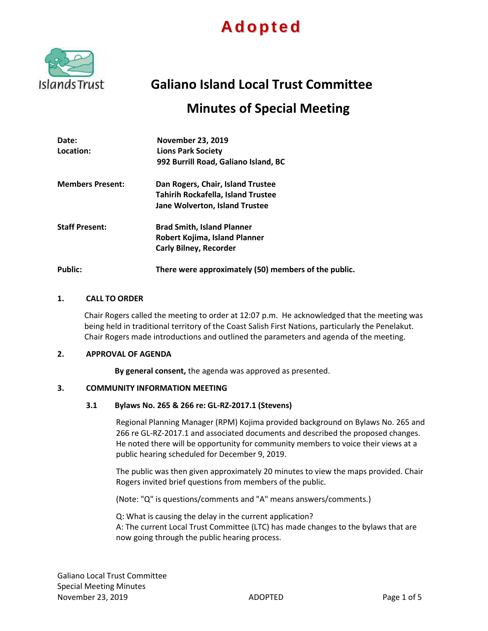## **A dopt ed**



# **Galiano Island Local Trust Committee**

### **Minutes of Special Meeting**

| Date:                   | <b>November 23, 2019</b>                             |
|-------------------------|------------------------------------------------------|
| Location:               | <b>Lions Park Society</b>                            |
|                         | 992 Burrill Road, Galiano Island, BC                 |
| <b>Members Present:</b> | Dan Rogers, Chair, Island Trustee                    |
|                         | <b>Tahirih Rockafella, Island Trustee</b>            |
|                         | <b>Jane Wolverton, Island Trustee</b>                |
| <b>Staff Present:</b>   | <b>Brad Smith, Island Planner</b>                    |
|                         | Robert Kojima, Island Planner                        |
|                         | <b>Carly Bilney, Recorder</b>                        |
| <b>Public:</b>          | There were approximately (50) members of the public. |

#### **1. CALL TO ORDER**

Chair Rogers called the meeting to order at 12:07 p.m. He acknowledged that the meeting was being held in traditional territory of the Coast Salish First Nations, particularly the Penelakut. Chair Rogers made introductions and outlined the parameters and agenda of the meeting.

#### **2. APPROVAL OF AGENDA**

**By general consent,** the agenda was approved as presented.

#### **3. COMMUNITY INFORMATION MEETING**

#### **3.1 Bylaws No. 265 & 266 re: GL-RZ-2017.1 (Stevens)**

Regional Planning Manager (RPM) Kojima provided background on Bylaws No. 265 and 266 re GL-RZ-2017.1 and associated documents and described the proposed changes. He noted there will be opportunity for community members to voice their views at a public hearing scheduled for December 9, 2019.

The public was then given approximately 20 minutes to view the maps provided. Chair Rogers invited brief questions from members of the public.

(Note: "Q" is questions/comments and "A" means answers/comments.)

Q: What is causing the delay in the current application? A: The current Local Trust Committee (LTC) has made changes to the bylaws that are now going through the public hearing process.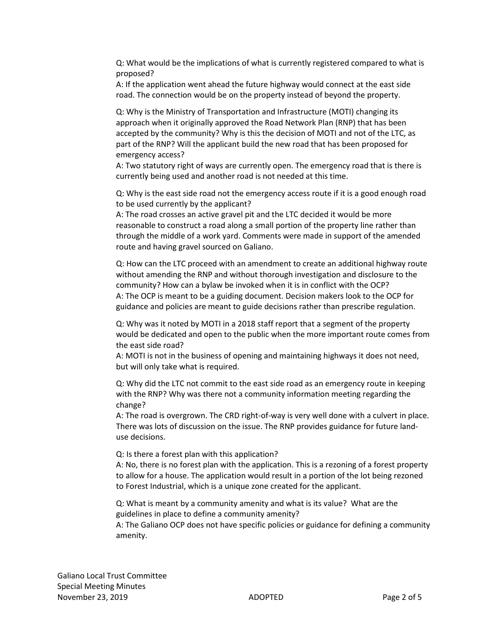Q: What would be the implications of what is currently registered compared to what is proposed?

A: If the application went ahead the future highway would connect at the east side road. The connection would be on the property instead of beyond the property.

Q: Why is the Ministry of Transportation and Infrastructure (MOTI) changing its approach when it originally approved the Road Network Plan (RNP) that has been accepted by the community? Why is this the decision of MOTI and not of the LTC, as part of the RNP? Will the applicant build the new road that has been proposed for emergency access?

A: Two statutory right of ways are currently open. The emergency road that is there is currently being used and another road is not needed at this time.

Q: Why is the east side road not the emergency access route if it is a good enough road to be used currently by the applicant?

A: The road crosses an active gravel pit and the LTC decided it would be more reasonable to construct a road along a small portion of the property line rather than through the middle of a work yard. Comments were made in support of the amended route and having gravel sourced on Galiano.

Q: How can the LTC proceed with an amendment to create an additional highway route without amending the RNP and without thorough investigation and disclosure to the community? How can a bylaw be invoked when it is in conflict with the OCP? A: The OCP is meant to be a guiding document. Decision makers look to the OCP for guidance and policies are meant to guide decisions rather than prescribe regulation.

Q: Why was it noted by MOTI in a 2018 staff report that a segment of the property would be dedicated and open to the public when the more important route comes from the east side road?

A: MOTI is not in the business of opening and maintaining highways it does not need, but will only take what is required.

Q: Why did the LTC not commit to the east side road as an emergency route in keeping with the RNP? Why was there not a community information meeting regarding the change?

A: The road is overgrown. The CRD right-of-way is very well done with a culvert in place. There was lots of discussion on the issue. The RNP provides guidance for future landuse decisions.

Q: Is there a forest plan with this application?

A: No, there is no forest plan with the application. This is a rezoning of a forest property to allow for a house. The application would result in a portion of the lot being rezoned to Forest Industrial, which is a unique zone created for the applicant.

Q: What is meant by a community amenity and what is its value? What are the guidelines in place to define a community amenity?

A: The Galiano OCP does not have specific policies or guidance for defining a community amenity.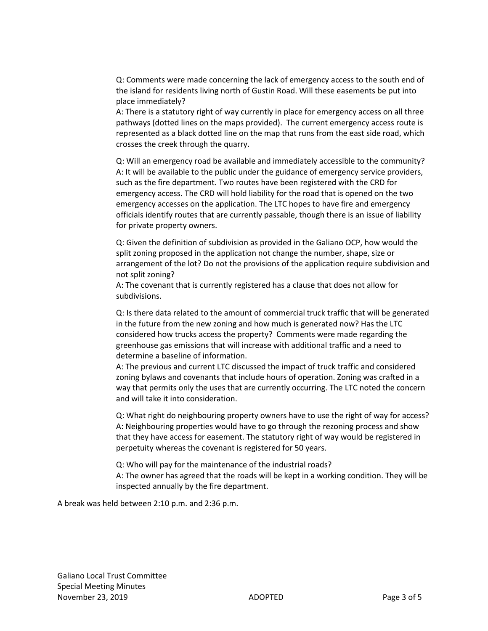Q: Comments were made concerning the lack of emergency access to the south end of the island for residents living north of Gustin Road. Will these easements be put into place immediately?

A: There is a statutory right of way currently in place for emergency access on all three pathways (dotted lines on the maps provided). The current emergency access route is represented as a black dotted line on the map that runs from the east side road, which crosses the creek through the quarry.

Q: Will an emergency road be available and immediately accessible to the community? A: It will be available to the public under the guidance of emergency service providers, such as the fire department. Two routes have been registered with the CRD for emergency access. The CRD will hold liability for the road that is opened on the two emergency accesses on the application. The LTC hopes to have fire and emergency officials identify routes that are currently passable, though there is an issue of liability for private property owners.

Q: Given the definition of subdivision as provided in the Galiano OCP, how would the split zoning proposed in the application not change the number, shape, size or arrangement of the lot? Do not the provisions of the application require subdivision and not split zoning?

A: The covenant that is currently registered has a clause that does not allow for subdivisions.

Q: Is there data related to the amount of commercial truck traffic that will be generated in the future from the new zoning and how much is generated now? Has the LTC considered how trucks access the property? Comments were made regarding the greenhouse gas emissions that will increase with additional traffic and a need to determine a baseline of information.

A: The previous and current LTC discussed the impact of truck traffic and considered zoning bylaws and covenants that include hours of operation. Zoning was crafted in a way that permits only the uses that are currently occurring. The LTC noted the concern and will take it into consideration.

Q: What right do neighbouring property owners have to use the right of way for access? A: Neighbouring properties would have to go through the rezoning process and show that they have access for easement. The statutory right of way would be registered in perpetuity whereas the covenant is registered for 50 years.

Q: Who will pay for the maintenance of the industrial roads? A: The owner has agreed that the roads will be kept in a working condition. They will be inspected annually by the fire department.

A break was held between 2:10 p.m. and 2:36 p.m.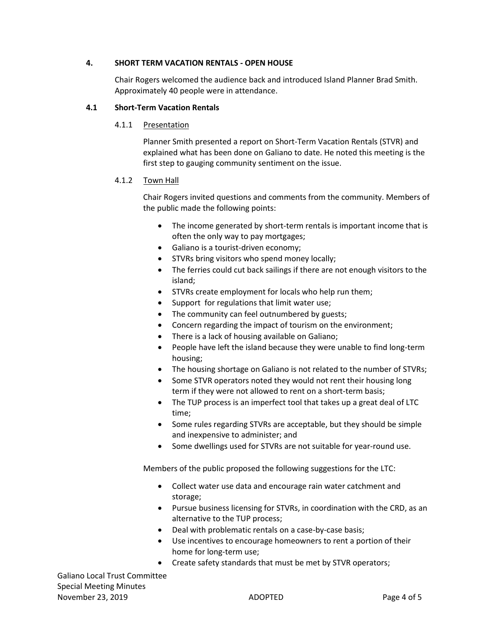#### **4. SHORT TERM VACATION RENTALS - OPEN HOUSE**

Chair Rogers welcomed the audience back and introduced Island Planner Brad Smith. Approximately 40 people were in attendance.

#### **4.1 Short-Term Vacation Rentals**

4.1.1 Presentation

Planner Smith presented a report on Short-Term Vacation Rentals (STVR) and explained what has been done on Galiano to date. He noted this meeting is the first step to gauging community sentiment on the issue.

#### 4.1.2 Town Hall

Chair Rogers invited questions and comments from the community. Members of the public made the following points:

- The income generated by short-term rentals is important income that is often the only way to pay mortgages;
- Galiano is a tourist-driven economy;
- STVRs bring visitors who spend money locally;
- The ferries could cut back sailings if there are not enough visitors to the island;
- STVRs create employment for locals who help run them;
- Support for regulations that limit water use;
- The community can feel outnumbered by guests;
- Concern regarding the impact of tourism on the environment;
- There is a lack of housing available on Galiano;
- People have left the island because they were unable to find long-term housing;
- The housing shortage on Galiano is not related to the number of STVRs;
- Some STVR operators noted they would not rent their housing long term if they were not allowed to rent on a short-term basis;
- The TUP process is an imperfect tool that takes up a great deal of LTC time;
- Some rules regarding STVRs are acceptable, but they should be simple and inexpensive to administer; and
- Some dwellings used for STVRs are not suitable for year-round use.

Members of the public proposed the following suggestions for the LTC:

- Collect water use data and encourage rain water catchment and storage;
- Pursue business licensing for STVRs, in coordination with the CRD, as an alternative to the TUP process;
- Deal with problematic rentals on a case-by-case basis;
- Use incentives to encourage homeowners to rent a portion of their home for long-term use;
- Create safety standards that must be met by STVR operators;